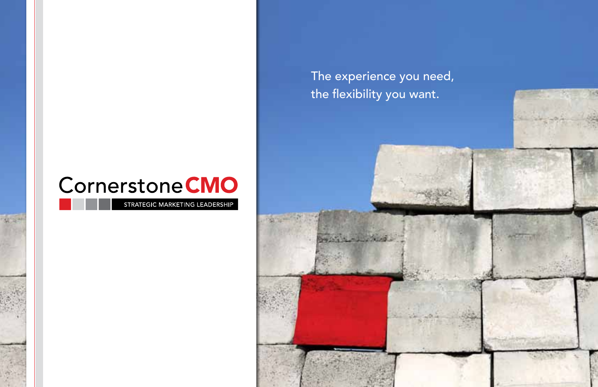# Cornerstone CMO

STRATEGIC MARKETING LEADERSHIP

The experience you need, the flexibility you want.

and a mother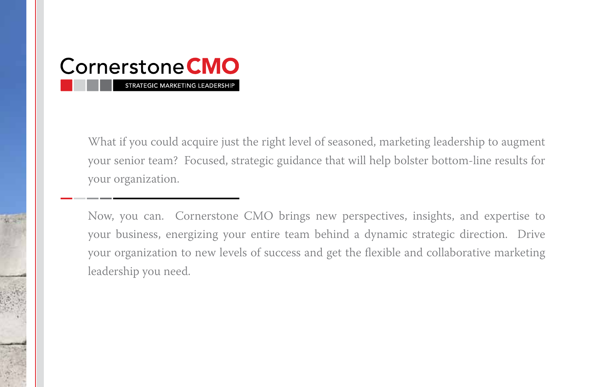

What if you could acquire just the right level of seasoned, marketing leadership to augment your senior team? Focused, strategic guidance that will help bolster bottom-line results for your organization.

Now, you can. Cornerstone CMO brings new perspectives, insights, and expertise to your business, energizing your entire team behind a dynamic strategic direction. Drive your organization to new levels of success and get the flexible and collaborative marketing leadership you need.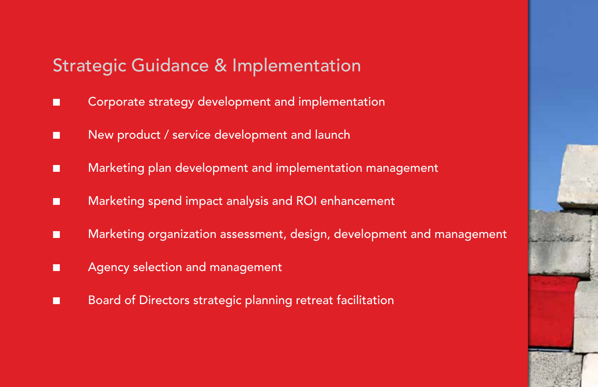### Strategic Guidance & Implementation

- Corporate strategy development and implementation
- New product / service development and launch
- Marketing plan development and implementation management
- Marketing spend impact analysis and ROI enhancement
- Marketing organization assessment, design, development and management
- Agency selection and management
- Board of Directors strategic planning retreat facilitation